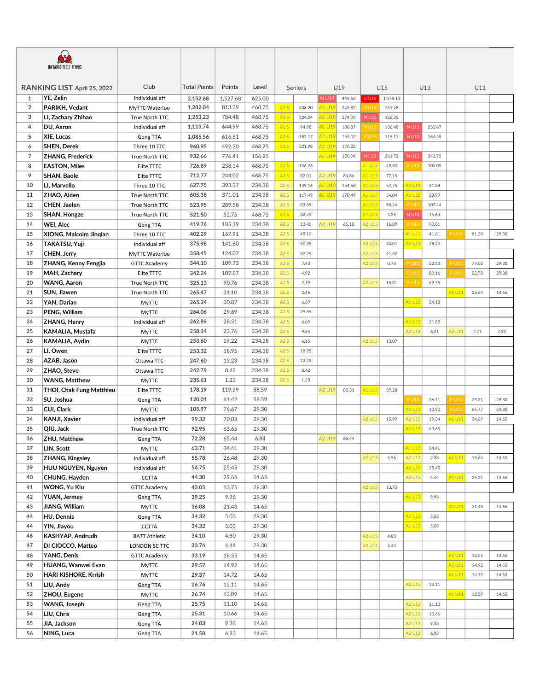| <b>ONTARIO TABLE TENNIS</b> |                             |                      |                     |          |        |         |        |        |              |             |          |         |        |             |       |       |
|-----------------------------|-----------------------------|----------------------|---------------------|----------|--------|---------|--------|--------|--------------|-------------|----------|---------|--------|-------------|-------|-------|
| RANKING LIST April 25, 2022 |                             | Club                 | <b>Total Points</b> | Points   | Level  | Seniors |        | U19    |              | U15         |          | U13     |        | U11         |       |       |
| $\mathbf{1}$                | YE, Zelin                   | Individual aff       | 2,152.68            | 1,527.68 | 625.00 |         |        | N U19  | 449.56       | C U15       | 1,078.13 |         |        |             |       |       |
| 2                           | PARIKH, Vedant              | MyTTC Waterloo       | 1,282.04            | 813.29   | 468.75 | A1S     | 408.20 | A1 U19 | 243.82       | P U15       | 161.28   |         |        |             |       |       |
| 3                           | LI, Zachary Zhihao          | True North TTC       | 1,253.23            | 784.48   | 468.75 | A1S     | 324.04 | A1 U19 | 274.09       | <b>NU15</b> | 186.35   |         |        |             |       |       |
| 4                           | DU, Aaron                   | Individual aff       | 1,113.74            | 644.99   | 468.75 | A1S     | 94.98  | A1 U19 | 180.87       | <b>PU15</b> | 136.48   | N U13   | 232.67 |             |       |       |
| 5                           | <b>XIE, Lucas</b>           | Geng TTA             | 1,085.56            | 616.81   | 468.75 | A1S     | 182.17 | A1 U19 | 155.02       | <b>PU15</b> | 115.12   | N U13   | 164.49 |             |       |       |
| 6                           | <b>SHEN, Derek</b>          | Three 10 TTC         | 960.95              | 492.20   | 468.75 | A1S     | 321.98 | A1 U19 | 170.22       |             |          |         |        |             |       |       |
| 7                           | <b>ZHANG, Frederick</b>     | True North TTC       | 932.66              | 776.41   | 156.25 |         |        | A1 U19 | 170.94       | <b>NU15</b> | 261.72   | N U13   | 343.75 |             |       |       |
| 8                           | <b>EASTON, Miles</b>        | Elite TTTC           | 726.89              | 258.14   | 468.75 | A1S     | 106.26 |        |              | A1 U15      | 49.83    | P U13   | 102.05 |             |       |       |
| 9                           | <b>SHAN, Baole</b>          | Elite TTTC           | 712.77              | 244.02   | 468.75 | A1S     | 82.01  | A2 U19 | 84.86        | A1 U15      | 77.15    |         |        |             |       |       |
| 10                          | LI, Marvello                | Three 10 TTC         | 627.75              | 393.37   | 234.38 | A2S     | 149.16 | A1 U19 | 154.58       | A1 U15      | 57.75    | A1 U13  | 31.88  |             |       |       |
| 11                          | ZHAO, Aiden                 | True North TTC       | 605.38              | 371.01   | 234.38 | A2S     | 117.49 | A1 U19 | 170.49       | A1 U15      | 54.04    | A1 U13  | 28.99  |             |       |       |
| 12                          | CHEN, Jaelen                | True North TTC       | 523.95              | 289.58   | 234.38 | A2S     | 83.89  |        |              | A1 U15      | 98.24    | P U13   | 107.44 |             |       |       |
| 13                          | SHAN, Hongze                | True North TTC       | 521.50              | 52.75    | 468.75 | A1S     | 32.73  |        |              | A1 U15      | 4.39     | $N$ U13 | 15.63  |             |       |       |
| 14                          | WEI, Alec                   | Geng TTA             | 419.76              | 185.39   | 234.38 | A2S     | 13.40  | A2 U19 | 65.10        | A2 U15      | 16.89    | P U13   | 90.01  |             |       |       |
| 15                          | XIONG, Malcolm Jingian      | Three 10 TTC         | 402.29              | 167.91   | 234.38 | A2S     | 45.10  |        |              |             |          | A1 U13  | 41.61  | P U11       | 81.20 | 29.30 |
| 16                          | TAKATSU, Yuji               | Individual aff       | 375.98              | 141.60   | 234.38 | A2S     | 80.39  |        |              | A2 U15      | 33.01    | A1 U13  | 28.20  |             |       |       |
| 17                          | CHEN, Jerry                 | MyTTC Waterloo       | 358.45              | 124.07   | 234.38 | A2S     | 82.25  |        |              | A2 U15      | 41.82    |         |        |             |       |       |
| 18                          | <b>ZHANG, Kenny Fengjia</b> | <b>GTTC Academy</b>  | 344.10              | 109.73   | 234.38 | A2S     | 7.43   |        |              | A2 U15      | 0.75     | P U13   | 22.53  | P U11       | 79.02 | 29.30 |
| 19                          | MAH, Zachary                | Elite TTTC           | 342.24              | 107.87   | 234.38 | A2S     | 4.92   |        |              |             |          | P U13   | 80.16  | P U11       | 22.78 | 29.30 |
| 20                          | <b>WANG, Aaron</b>          | True North TTC       | 325.13              | 90.76    | 234.38 | A2S     | 2.19   |        |              | A2 U15      | 18.81    | P U13   | 69.75  |             |       |       |
| 21                          | SUN, Jiawen                 | True North TTC       | 265.47              | 31.10    | 234.38 | A2S     | 2.46   |        |              |             |          |         |        | A1 U11      | 28.64 | 14.65 |
| 22                          | YAN, Darian                 | <b>MyTTC</b>         | 265.24              | 30.87    | 234.38 | A2S     | 6.69   |        |              |             |          | A1 U13  | 24.18  |             |       |       |
| 23                          | PENG, William               | <b>MyTTC</b>         | 264.06              | 29.69    | 234.38 | A2S     | 29.69  |        |              |             |          |         |        |             |       |       |
| 24                          | <b>ZHANG, Henry</b>         | Individual aff       | 262.89              | 28.51    | 234.38 | A2S     | 6.69   |        |              |             |          | A1 U13  | 21.82  |             |       |       |
| 25                          | KAMALIA, Mustafa            | <b>MyTTC</b>         | 258.14              | 23.76    | 234.38 | A2S     | 9.85   |        |              |             |          | A2 U13  | 6.21   | A2 U11      | 7.71  | 7.32  |
| 26                          | KAMALIA, Aydin              | MyTTC                | 253.60              | 19.22    | 234.38 | A2S     | 6.15   |        |              | A2 U15      | 13.07    |         |        |             |       |       |
| 27                          | LI, Owen                    | Elite TTTC           | 253.32              | 18.95    | 234.38 | A2S     | 18.95  |        |              |             |          |         |        |             |       |       |
| 28                          | AZAB, Jason                 | Ottawa TTC           | 247.60              | 13.23    | 234.38 | A2S     | 13.23  |        |              |             |          |         |        |             |       |       |
| 29                          | ZHAO, Steve                 | Ottawa TTC           | 242.79              | 8.42     | 234.38 | A2S     | 8.42   |        |              |             |          |         |        |             |       |       |
| 30                          | <b>WANG, Matthew</b>        | <b>MyTTC</b>         | 235.61              | 1.23     | 234.38 | A2S     | 1.23   |        |              |             |          |         |        |             |       |       |
| 31                          | THOI, Chak Fung Matthieu    | Elite TTTC           | 178.19              | 119.59   | 58.59  |         |        | A2 U19 | 80.31        | A1 U15      | 39.28    |         |        |             |       |       |
| 32                          | SU, Joshua                  | Geng TTA             | 120.01              | 61.42    | 58.59  |         |        |        |              |             |          | P U13   | 36.11  | P U11       | 25.31 | 29.30 |
| 33                          | CUI, Clark                  | MyTTC                | 105.97              | 76.67    | 29.30  |         |        |        |              |             |          | A1 U13  | 10.90  | <b>PU11</b> | 65.77 | 29.30 |
| 34                          | <b>KANJI, Xavier</b>        | Individual aff       | 99.32               | 70.03    | 29.30  |         |        |        |              | A2 U15      | 15.99    | A2 U13  | 19.34  | A1 U11      | 34.69 | 14.65 |
| 35                          | QIU, Jack                   | True North TTC       | 92.95               | 63.65    | 29.30  |         |        |        |              |             |          | A1 U13  | 63.65  |             |       |       |
| 36                          | ZHU, Matthew                | Geng TTA             | 72.28               | 65.44    | 6.84   |         |        |        | A2 U19 65.44 |             |          |         |        |             |       |       |
| 37                          | LIN, Scott                  | <b>MyTTC</b>         | 63.71               | 34.41    | 29.30  |         |        |        |              |             |          | A1 U13  | 34.41  |             |       |       |
| 38                          | ZHANG, Kingsley             | Individual aff       | 55.78               | 26.48    | 29.30  |         |        |        |              | A2 U15      | 4.56     | A2 U13  | 2.28   | A1 U11      | 19.64 | 14.65 |
| 39                          | HUU NGUYEN, Nguyen          | Individual aff       | 54.75               | 25.45    | 29.30  |         |        |        |              |             |          | A1 U13  | 25.45  |             |       |       |
| 40                          | CHUNG, Hayden               | <b>CCTTA</b>         | 44.30               | 29.65    | 14.65  |         |        |        |              |             |          | A2 U13  | 4.44   | A1 U11      | 25.21 | 14.65 |
| 41                          | <b>WONG, Yu Kiu</b>         | <b>GTTC Academy</b>  | 43.05               | 13.75    | 29.30  |         |        |        |              | A2 U15      | 13.75    |         |        |             |       |       |
| 42                          | YUAN, Jermey                | Geng TTA             | 39.25               | 9.96     | 29.30  |         |        |        |              |             |          | A1 U13  | 9.96   |             |       |       |
| 43                          | JIANG, William              | <b>MyTTC</b>         | 36.08               | 21.43    | 14.65  |         |        |        |              |             |          |         |        | A1 U11      | 21.43 | 14.65 |
| 44                          | HU, Dennis                  | Geng TTA             | 34.32               | 5.03     | 29.30  |         |        |        |              |             |          | A1 U13  | 5.03   |             |       |       |
| 44                          | YIN, Jiayou                 | <b>CCTTA</b>         | 34.32               | 5.03     | 29.30  |         |        |        |              |             |          | A1 U13  | 5.03   |             |       |       |
| 46                          | KASHYAP, Andrudh            | <b>BATT Athletic</b> | 34.10               | 4.80     | 29.30  |         |        |        |              | A2 U15      | 4.80     |         |        |             |       |       |
| 47                          | DI CIOCCO, Matteo           | LONDON SC TTC        | 33.74               | 4.44     | 29.30  |         |        |        |              | A2 U15      | 4.44     |         |        |             |       |       |
| 48                          | YANG, Denis                 | <b>GTTC Academy</b>  | 33.19               | 18.55    | 14.65  |         |        |        |              |             |          |         |        | A1 U11      | 18.55 | 14.65 |
| 49                          | HUANG, Wanwei Evan          | <b>MyTTC</b>         | 29.57               | 14.92    | 14.65  |         |        |        |              |             |          |         |        | A1 U11      | 14.92 | 14.65 |
| 50                          | HARI KISHORE, Krrish        | <b>MyTTC</b>         | 29.37               | 14.72    | 14.65  |         |        |        |              |             |          |         |        | A1 U11      | 14.72 | 14.65 |
| 51                          | LIU, Andy                   | Geng TTA             | 26.76               | 12.11    | 14.65  |         |        |        |              |             |          | A2 U13  | 12.11  |             |       |       |
| 52                          | ZHOU, Eugene                | <b>MyTTC</b>         | 26.74               | 12.09    | 14.65  |         |        |        |              |             |          |         |        | A1 U11      | 12.09 | 14.65 |
| 53                          | WANG, Joseph                | Geng TTA             | 25.75               | 11.10    | 14.65  |         |        |        |              |             |          | A2 U13  | 11.10  |             |       |       |
| 54                          | LIU, Chris                  | Geng TTA             | 25.31               | 10.66    | 14.65  |         |        |        |              |             |          | A2 U13  | 10.66  |             |       |       |
| 55                          | JIA, Jackson                | Geng TTA             | 24.03               | 9.38     | 14.65  |         |        |        |              |             |          | A2 U13  | 9.38   |             |       |       |
| 56                          | NING, Luca                  | Geng TTA             | 21.58               | 6.93     | 14.65  |         |        |        |              |             |          | A2 U13  | 6.93   |             |       |       |